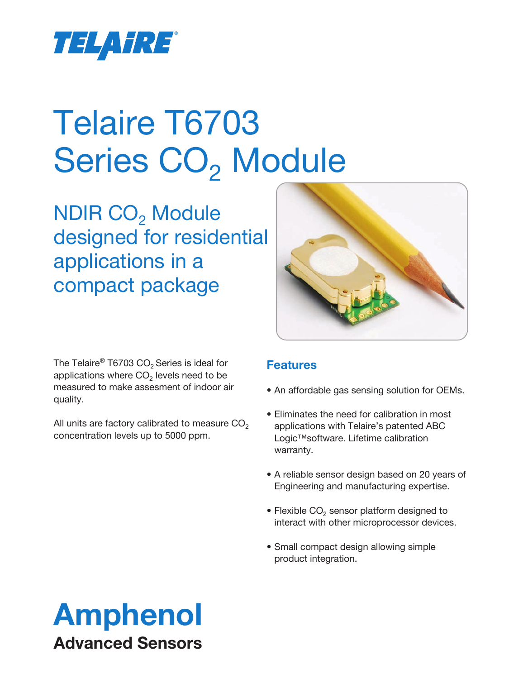

# Telaire T6703 Series CO<sub>2</sub> Module

NDIR CO<sub>2</sub> Module designed for residential applications in a compact package



The Telaire® T6703 CO<sub>2</sub> Series is ideal for applications where  $CO<sub>2</sub>$  levels need to be measured to make assesment of indoor air quality.

All units are factory calibrated to measure  $CO<sub>2</sub>$ concentration levels up to 5000 ppm.

### **Features**

- An affordable gas sensing solution for OEMs.
- Eliminates the need for calibration in most applications with Telaire's patented ABC Logic™software. Lifetime calibration warranty.
- A reliable sensor design based on 20 years of Engineering and manufacturing expertise.
- Flexible  $CO<sub>2</sub>$  sensor platform designed to interact with other microprocessor devices.
- Small compact design allowing simple product integration.

## Amphenol Advanced Sensors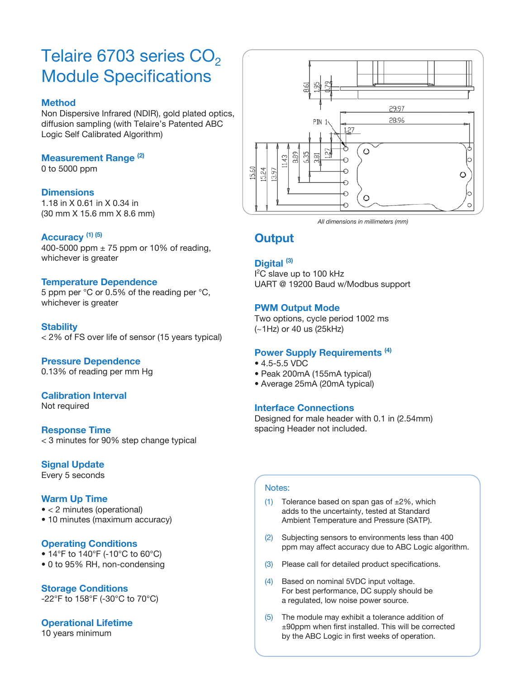## Telaire 6703 series  $CO<sub>2</sub>$ Module Specifications

#### **Method**

Non Dispersive Infrared (NDIR), gold plated optics, diffusion sampling (with Telaire's Patented ABC Logic Self Calibrated Algorithm)

#### **Measurement Range (2)**

0 to 5000 ppm

#### **Dimensions**

1.18 in X 0.61 in X 0.34 in (30 mm X 15.6 mm X 8.6 mm)

#### **Accuracy (1) (5)**

400-5000 ppm  $\pm$  75 ppm or 10% of reading, whichever is greater

#### **Temperature Dependence**

5 ppm per °C or 0.5% of the reading per °C, whichever is greater

#### **Stability**

< 2% of FS over life of sensor (15 years typical)

#### **Pressure Dependence**

0.13% of reading per mm Hg

#### **Calibration Interval**

Not required

#### **Response Time**

< 3 minutes for 90% step change typical

#### **Signal Update**

Every 5 seconds

#### **Warm Up Time**

- < 2 minutes (operational)
- 10 minutes (maximum accuracy)

#### **Operating Conditions**

- 14°F to 140°F (-10°C to 60°C)
- 0 to 95% RH, non-condensing

#### **Storage Conditions**

-22°F to 158°F (-30°C to 70°C)

#### **Operational Lifetime**

10 years minimum



*All dimensions in millimeters (mm)*

#### **Output**

#### **Digital (3)**

<sup>2</sup>C slave up to 100 kHz UART @ 19200 Baud w/Modbus support

#### **PWM Output Mode**

Two options, cycle period 1002 ms (~1Hz) or 40 us (25kHz)

#### **Power Supply Requirements (4)**

- 4.5-5.5 VDC
- Peak 200mA (155mA typical)
- Average 25mA (20mA typical)

#### **Interface Connections**

Designed for male header with 0.1 in (2.54mm) spacing Header not included.

#### Notes:

- (1) Tolerance based on span gas of  $\pm 2\%$ , which adds to the uncertainty, tested at Standard Ambient Temperature and Pressure (SATP).
- (2) Subjecting sensors to environments less than 400 ppm may affect accuracy due to ABC Logic algorithm.
- (3) Please call for detailed product specifications.
- (4) Based on nominal 5VDC input voltage. For best performance, DC supply should be a regulated, low noise power source.
- (5) The module may exhibit a tolerance addition of ±90ppm when first installed. This will be corrected by the ABC Logic in first weeks of operation.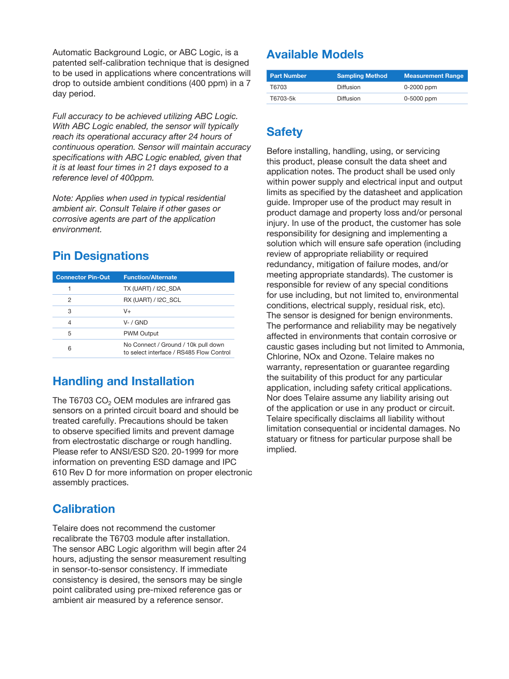Automatic Background Logic, or ABC Logic, is a patented self-calibration technique that is designed to be used in applications where concentrations will drop to outside ambient conditions (400 ppm) in a 7 day period.

*Full accuracy to be achieved utilizing ABC Logic. With ABC Logic enabled, the sensor will typically reach its operational accuracy after 24 hours of continuous operation. Sensor will maintain accuracy specifications with ABC Logic enabled, given that it is at least four times in 21 days exposed to a reference level of 400ppm.* 

*Note: Applies when used in typical residential ambient air. Consult Telaire if other gases or corrosive agents are part of the application environment.*

## **Pin Designations**

| <b>Connector Pin-Out</b> | <b>Function/Alternate</b>                                                       |
|--------------------------|---------------------------------------------------------------------------------|
|                          | TX (UART) / I2C SDA                                                             |
| 2                        | RX (UART) / I2C SCL                                                             |
| З                        | V+                                                                              |
| 4                        | $V - / GND$                                                                     |
| 5                        | <b>PWM Output</b>                                                               |
| 6                        | No Connect / Ground / 10k pull down<br>to select interface / RS485 Flow Control |

## **Handling and Installation**

The T6703 CO<sub>2</sub> OEM modules are infrared gas sensors on a printed circuit board and should be treated carefully. Precautions should be taken to observe specified limits and prevent damage from electrostatic discharge or rough handling. Please refer to ANSI/ESD S20. 20-1999 for more information on preventing ESD damage and IPC 610 Rev D for more information on proper electronic assembly practices.

## **Calibration**

Telaire does not recommend the customer recalibrate the T6703 module after installation. The sensor ABC Logic algorithm will begin after 24 hours, adjusting the sensor measurement resulting in sensor-to-sensor consistency. If immediate consistency is desired, the sensors may be single point calibrated using pre-mixed reference gas or ambient air measured by a reference sensor.

## **Available Models**

| <b>Part Number</b> | <b>Sampling Method</b> | <b>Measurement Range</b> |
|--------------------|------------------------|--------------------------|
| T6703              | Diffusion              | 0-2000 ppm               |
| T6703-5k           | Diffusion              | 0-5000 ppm               |

## **Safety**

Before installing, handling, using, or servicing this product, please consult the data sheet and application notes. The product shall be used only within power supply and electrical input and output limits as specified by the datasheet and application guide. Improper use of the product may result in product damage and property loss and/or personal injury. In use of the product, the customer has sole responsibility for designing and implementing a solution which will ensure safe operation (including review of appropriate reliability or required redundancy, mitigation of failure modes, and/or meeting appropriate standards). The customer is responsible for review of any special conditions for use including, but not limited to, environmental conditions, electrical supply, residual risk, etc). The sensor is designed for benign environments. The performance and reliability may be negatively affected in environments that contain corrosive or caustic gases including but not limited to Ammonia, Chlorine, NOx and Ozone. Telaire makes no warranty, representation or guarantee regarding the suitability of this product for any particular application, including safety critical applications. Nor does Telaire assume any liability arising out of the application or use in any product or circuit. Telaire specifically disclaims all liability without limitation consequential or incidental damages. No statuary or fitness for particular purpose shall be implied.